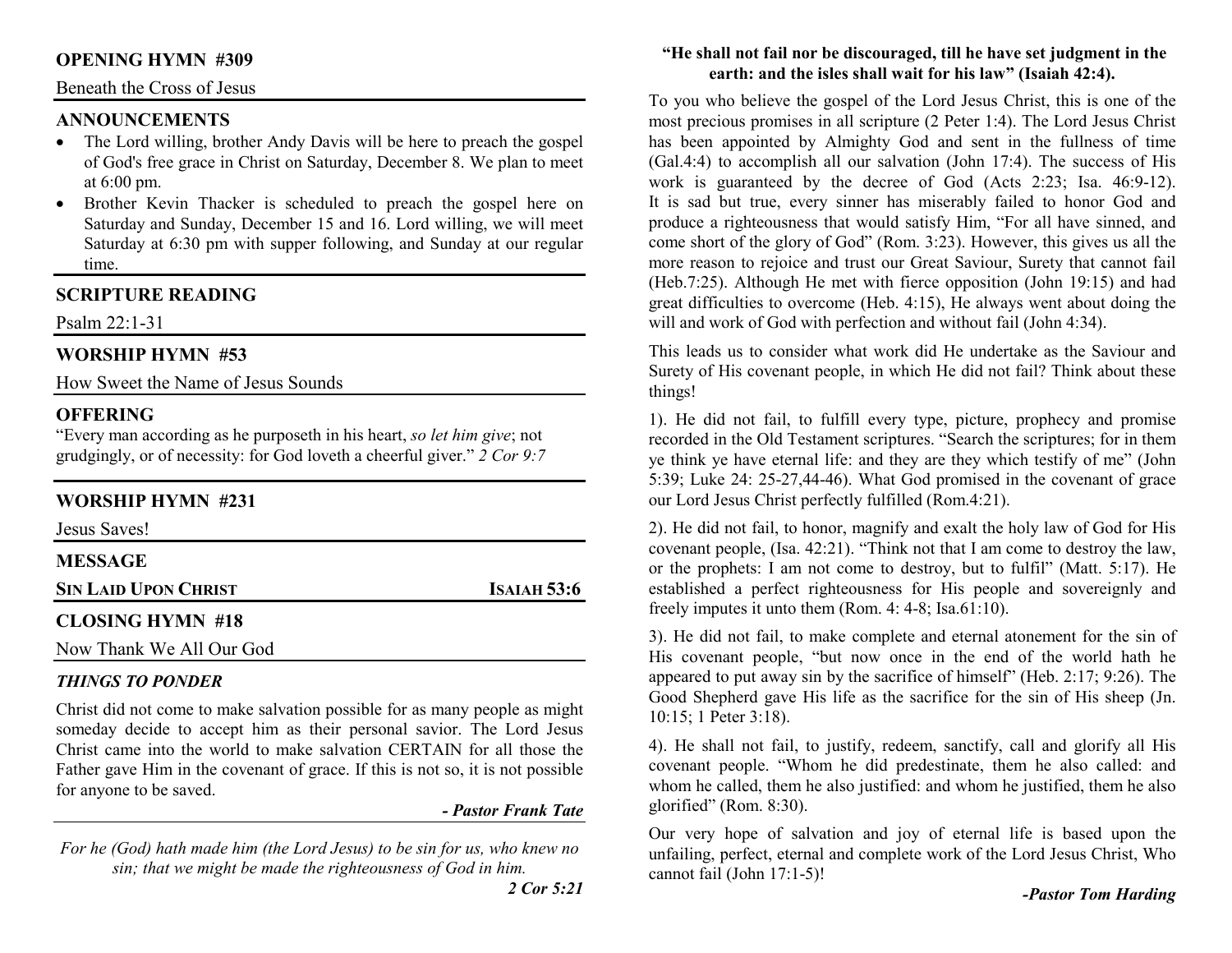## **OPENING HYMN #309**

### Beneath the Cross of Jesus

## **ANNOUNCEMENTS**

- The Lord willing, brother Andy Davis will be here to preach the gospel of God's free grace in Christ on Saturday, December 8. We plan to meet at 6:00 pm.
- • Brother Kevin Thacker is scheduled to preach the gospel here on Saturday and Sunday, December 15 and 16. Lord willing, we will meet Saturday at 6:30 pm with supper following, and Sunday at our regular time.

## **SCRIPTURE READING**

Psalm 22:1-31

## **WORSHIP HYMN #53**

How Sweet the Name of Jesus Sounds

## **OFFERING**

 "Every man according as he purposeth in his heart, *so let him give*; not grudgingly, or of necessity: for God loveth a cheerful giver." *2 Cor 9:7*

## **WORSHIP HYMN #231**

| Jesus Saves!                |                    |
|-----------------------------|--------------------|
| <b>MESSAGE</b>              |                    |
| <b>SIN LAID UPON CHRIST</b> | <b>ISAIAH 53:6</b> |
| <b>CLOSING HYMN #18</b>     |                    |
| Now Thank We All Our God    |                    |

## *THINGS TO PONDER*

Christ did not come to make salvation possible for as many people as might someday decide to accept him as their personal savior. The Lord Jesus Christ came into the world to make salvation CERTAIN for all those the Father gave Him in the covenant of grace. If this is not so, it is not possible for anyone to be saved.

#### *- Pastor Frank Tate*

*For he (God) hath made him (the Lord Jesus) to be sin for us, who knew no sin; that we might be made the righteousness of God in him.* 

## **"He shall not fail nor be discouraged, till he have set judgment in the earth: and the isles shall wait for his law" (Isaiah 42:4).**

To you who believe the gospel of the Lord Jesus Christ, this is one of the most precious promises in all scripture (2 Peter 1:4). The Lord Jesus Christ has been appointed by Almighty God and sent in the fullness of time (Gal.4:4) to accomplish all our salvation (John 17:4). The success of His work is guaranteed by the decree of God (Acts 2:23; Isa. 46:9-12). It is sad but true, every sinner has miserably failed to honor God and produce a righteousness that would satisfy Him, "For all have sinned, and come short of the glory of God" (Rom. 3:23). However, this gives us all the more reason to rejoice and trust our Great Saviour, Surety that cannot fail (Heb.7:25). Although He met with fierce opposition (John 19:15) and had great difficulties to overcome (Heb. 4:15), He always went about doing the will and work of God with perfection and without fail (John 4:34).

This leads us to consider what work did He undertake as the Saviour and Surety of His covenant people, in which He did not fail? Think about these things!

1). He did not fail, to fulfill every type, picture, prophecy and promise recorded in the Old Testament scriptures. "Search the scriptures; for in them ye think ye have eternal life: and they are they which testify of me" (John 5:39; Luke 24: 25-27,44-46). What God promised in the covenant of grace our Lord Jesus Christ perfectly fulfilled (Rom.4:21).

2). He did not fail, to honor, magnify and exalt the holy law of God for His covenant people, (Isa. 42:21). "Think not that I am come to destroy the law, or the prophets: I am not come to destroy, but to fulfil" (Matt. 5:17). He established a perfect righteousness for His people and sovereignly and freely imputes it unto them (Rom. 4: 4-8; Isa.61:10).

3). He did not fail, to make complete and eternal atonement for the sin of His covenant people, "but now once in the end of the world hath he appeared to put away sin by the sacrifice of himself" (Heb. 2:17; 9:26). The Good Shepherd gave His life as the sacrifice for the sin of His sheep (Jn. 10:15; 1 Peter 3:18).

4). He shall not fail, to justify, redeem, sanctify, call and glorify all His covenant people. "Whom he did predestinate, them he also called: and whom he called, them he also justified: and whom he justified, them he also glorified" (Rom. 8:30).

Our very hope of salvation and joy of eternal life is based upon the unfailing, perfect, eternal and complete work of the Lord Jesus Christ, Who cannot fail (John 17:1-5)!